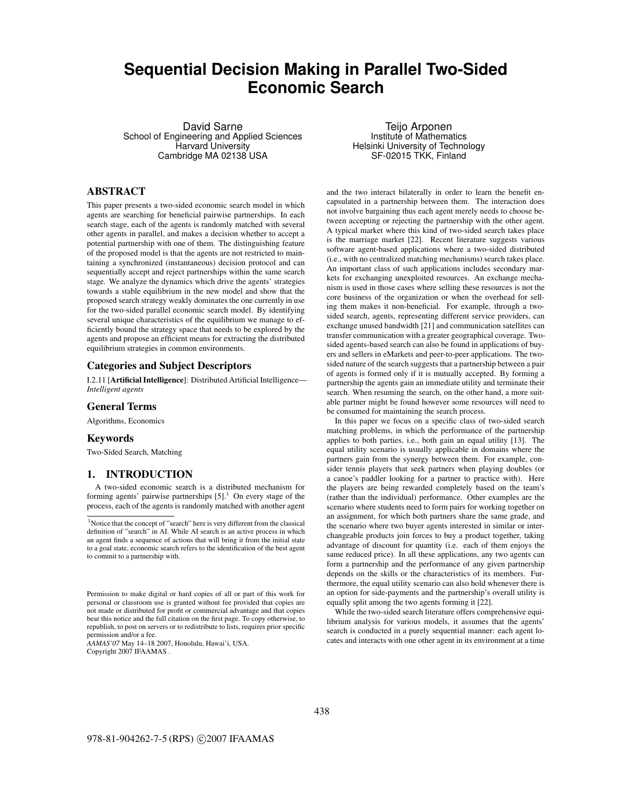# Sequential Decision Making in Parallel Two-Sided Economic Search

David Sarne School of Engineering and Applied Sciences Harvard University Cambridge MA 02138 USA

Teijo Arponen Institute of Mathematics Helsinki University of Technology SF-02015 TKK, Finland

# ABSTRACT

This paper presents a two-sided economic search model in which agents are searching for beneficial pairwise partnerships. In each search stage, each of the agents is randomly matched with several other agents in parallel, and makes a decision whether to accept a potential partnership with one of them. The distinguishing feature of the proposed model is that the agents are not restricted to maintaining a synchronized (instantaneous) decision protocol and can sequentially accept and reject partnerships within the same search stage. We analyze the dynamics which drive the agents' strategies towards a stable equilibrium in the new model and show that the proposed search strategy weakly dominates the one currently in use for the two-sided parallel economic search model. By identifying several unique characteristics of the equilibrium we manage to efficiently bound the strategy space that needs to be explored by the agents and propose an efficient means for extracting the distributed equilibrium strategies in common environments.

#### Categories and Subject Descriptors

I.2.11 [Artificial Intelligence]: Distributed Artificial Intelligence— Intelligent agents

#### General Terms

Algorithms, Economics

### Keywords

Two-Sided Search, Matching

### 1. INTRODUCTION

A two-sided economic search is a distributed mechanism for forming agents' pairwise partnerships  $[5]$ .<sup>1</sup> On every stage of the process, each of the agents is randomly matched with another agent

AAMAS'07 May 14–18 2007, Honolulu, Hawai'i, USA. Copyright 2007 IFAAMAS .

and the two interact bilaterally in order to learn the benefit encapsulated in a partnership between them. The interaction does not involve bargaining thus each agent merely needs to choose between accepting or rejecting the partnership with the other agent. A typical market where this kind of two-sided search takes place is the marriage market [22]. Recent literature suggests various software agent-based applications where a two-sided distributed (i.e., with no centralized matching mechanisms) search takes place. An important class of such applications includes secondary markets for exchanging unexploited resources. An exchange mechanism is used in those cases where selling these resources is not the core business of the organization or when the overhead for selling them makes it non-beneficial. For example, through a twosided search, agents, representing different service providers, can exchange unused bandwidth [21] and communication satellites can transfer communication with a greater geographical coverage. Twosided agents-based search can also be found in applications of buyers and sellers in eMarkets and peer-to-peer applications. The twosided nature of the search suggests that a partnership between a pair of agents is formed only if it is mutually accepted. By forming a partnership the agents gain an immediate utility and terminate their search. When resuming the search, on the other hand, a more suitable partner might be found however some resources will need to be consumed for maintaining the search process.

In this paper we focus on a specific class of two-sided search matching problems, in which the performance of the partnership applies to both parties, i.e., both gain an equal utility [13]. The equal utility scenario is usually applicable in domains where the partners gain from the synergy between them. For example, consider tennis players that seek partners when playing doubles (or a canoe's paddler looking for a partner to practice with). Here the players are being rewarded completely based on the team's (rather than the individual) performance. Other examples are the scenario where students need to form pairs for working together on an assignment, for which both partners share the same grade, and the scenario where two buyer agents interested in similar or interchangeable products join forces to buy a product together, taking advantage of discount for quantity (i.e. each of them enjoys the same reduced price). In all these applications, any two agents can form a partnership and the performance of any given partnership depends on the skills or the characteristics of its members. Furthermore, the equal utility scenario can also hold whenever there is an option for side-payments and the partnership's overall utility is equally split among the two agents forming it [22].

While the two-sided search literature offers comprehensive equilibrium analysis for various models, it assumes that the agents' search is conducted in a purely sequential manner: each agent locates and interacts with one other agent in its environment at a time

<sup>&</sup>lt;sup>1</sup>Notice that the concept of "search" here is very different from the classical definition of "search" in AI. While AI search is an active process in which an agent finds a sequence of actions that will bring it from the initial state to a goal state, economic search refers to the identification of the best agent to commit to a partnership with.

Permission to make digital or hard copies of all or part of this work for personal or classroom use is granted without fee provided that copies are not made or distributed for profit or commercial advantage and that copies bear this notice and the full citation on the first page. To copy otherwise, to republish, to post on servers or to redistribute to lists, requires prior specific permission and/or a fee.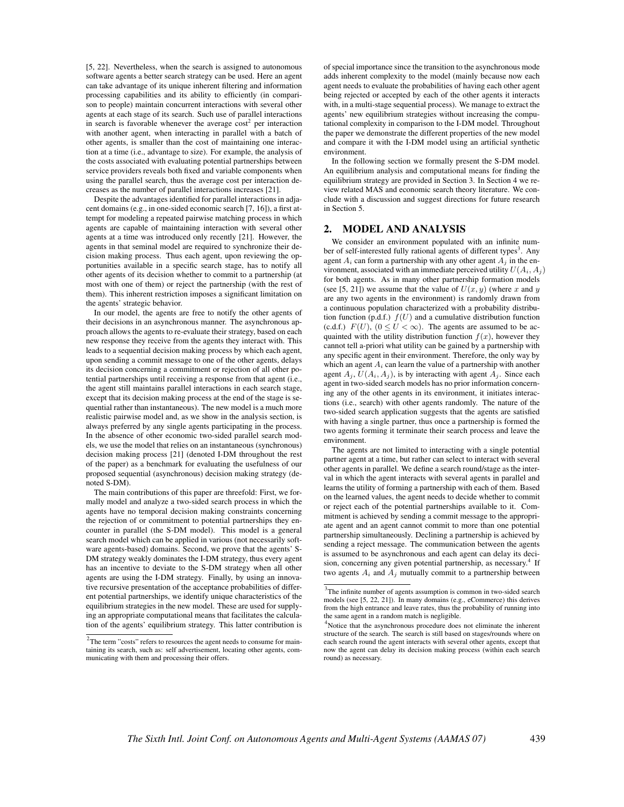[5, 22]. Nevertheless, when the search is assigned to autonomous software agents a better search strategy can be used. Here an agent can take advantage of its unique inherent filtering and information processing capabilities and its ability to efficiently (in comparison to people) maintain concurrent interactions with several other agents at each stage of its search. Such use of parallel interactions in search is favorable whenever the average  $\cos^2$  per interaction with another agent, when interacting in parallel with a batch of other agents, is smaller than the cost of maintaining one interaction at a time (i.e., advantage to size). For example, the analysis of the costs associated with evaluating potential partnerships between service providers reveals both fixed and variable components when using the parallel search, thus the average cost per interaction decreases as the number of parallel interactions increases [21].

Despite the advantages identified for parallel interactions in adjacent domains (e.g., in one-sided economic search [7, 16]), a first attempt for modeling a repeated pairwise matching process in which agents are capable of maintaining interaction with several other agents at a time was introduced only recently [21]. However, the agents in that seminal model are required to synchronize their decision making process. Thus each agent, upon reviewing the opportunities available in a specific search stage, has to notify all other agents of its decision whether to commit to a partnership (at most with one of them) or reject the partnership (with the rest of them). This inherent restriction imposes a significant limitation on the agents' strategic behavior.

In our model, the agents are free to notify the other agents of their decisions in an asynchronous manner. The asynchronous approach allows the agents to re-evaluate their strategy, based on each new response they receive from the agents they interact with. This leads to a sequential decision making process by which each agent, upon sending a commit message to one of the other agents, delays its decision concerning a commitment or rejection of all other potential partnerships until receiving a response from that agent (i.e., the agent still maintains parallel interactions in each search stage, except that its decision making process at the end of the stage is sequential rather than instantaneous). The new model is a much more realistic pairwise model and, as we show in the analysis section, is always preferred by any single agents participating in the process. In the absence of other economic two-sided parallel search models, we use the model that relies on an instantaneous (synchronous) decision making process [21] (denoted I-DM throughout the rest of the paper) as a benchmark for evaluating the usefulness of our proposed sequential (asynchronous) decision making strategy (denoted S-DM).

The main contributions of this paper are threefold: First, we formally model and analyze a two-sided search process in which the agents have no temporal decision making constraints concerning the rejection of or commitment to potential partnerships they encounter in parallel (the S-DM model). This model is a general search model which can be applied in various (not necessarily software agents-based) domains. Second, we prove that the agents' S-DM strategy weakly dominates the I-DM strategy, thus every agent has an incentive to deviate to the S-DM strategy when all other agents are using the I-DM strategy. Finally, by using an innovative recursive presentation of the acceptance probabilities of different potential partnerships, we identify unique characteristics of the equilibrium strategies in the new model. These are used for supplying an appropriate computational means that facilitates the calculation of the agents' equilibrium strategy. This latter contribution is

of special importance since the transition to the asynchronous mode adds inherent complexity to the model (mainly because now each agent needs to evaluate the probabilities of having each other agent being rejected or accepted by each of the other agents it interacts with, in a multi-stage sequential process). We manage to extract the agents' new equilibrium strategies without increasing the computational complexity in comparison to the I-DM model. Throughout the paper we demonstrate the different properties of the new model and compare it with the I-DM model using an artificial synthetic environment.

In the following section we formally present the S-DM model. An equilibrium analysis and computational means for finding the equilibrium strategy are provided in Section 3. In Section 4 we review related MAS and economic search theory literature. We conclude with a discussion and suggest directions for future research in Section 5.

# 2. MODEL AND ANALYSIS

We consider an environment populated with an infinite number of self-interested fully rational agents of different types<sup>3</sup>. Any agent  $A_i$  can form a partnership with any other agent  $A_i$  in the environment, associated with an immediate perceived utility  $U(A_i, A_j)$ for both agents. As in many other partnership formation models (see [5, 21]) we assume that the value of  $U(x, y)$  (where x and y are any two agents in the environment) is randomly drawn from a continuous population characterized with a probability distribution function (p.d.f.)  $f(U)$  and a cumulative distribution function (c.d.f.)  $F(U)$ ,  $(0 \le U < \infty)$ . The agents are assumed to be acquainted with the utility distribution function  $f(x)$ , however they cannot tell a-priori what utility can be gained by a partnership with any specific agent in their environment. Therefore, the only way by which an agent  $A_i$  can learn the value of a partnership with another agent  $A_i$ ,  $U(A_i, A_j)$ , is by interacting with agent  $A_i$ . Since each agent in two-sided search models has no prior information concerning any of the other agents in its environment, it initiates interactions (i.e., search) with other agents randomly. The nature of the two-sided search application suggests that the agents are satisfied with having a single partner, thus once a partnership is formed the two agents forming it terminate their search process and leave the environment.

The agents are not limited to interacting with a single potential partner agent at a time, but rather can select to interact with several other agents in parallel. We define a search round/stage as the interval in which the agent interacts with several agents in parallel and learns the utility of forming a partnership with each of them. Based on the learned values, the agent needs to decide whether to commit or reject each of the potential partnerships available to it. Commitment is achieved by sending a commit message to the appropriate agent and an agent cannot commit to more than one potential partnership simultaneously. Declining a partnership is achieved by sending a reject message. The communication between the agents is assumed to be asynchronous and each agent can delay its decision, concerning any given potential partnership, as necessary.<sup>4</sup> If two agents  $A_i$  and  $A_j$  mutually commit to a partnership between

<sup>&</sup>lt;sup>2</sup>The term "costs" refers to resources the agent needs to consume for maintaining its search, such as: self advertisement, locating other agents, communicating with them and processing their offers.

<sup>&</sup>lt;sup>3</sup>The infinite number of agents assumption is common in two-sided search models (see [5, 22, 21]). In many domains (e.g., eCommerce) this derives from the high entrance and leave rates, thus the probability of running into the same agent in a random match is negligible.

<sup>&</sup>lt;sup>4</sup>Notice that the asynchronous procedure does not eliminate the inherent structure of the search. The search is still based on stages/rounds where on each search round the agent interacts with several other agents, except that now the agent can delay its decision making process (within each search round) as necessary.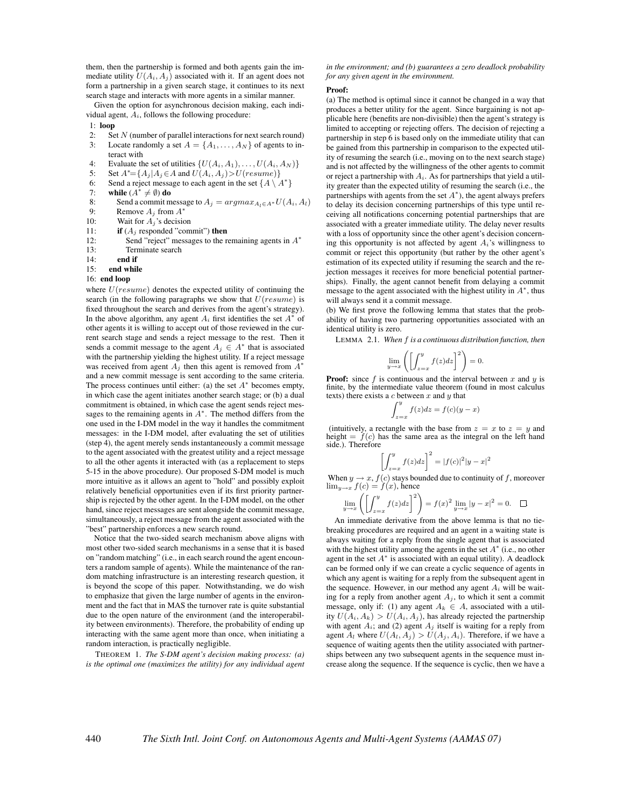them, then the partnership is formed and both agents gain the immediate utility  $U(A_i, A_j)$  associated with it. If an agent does not form a partnership in a given search stage, it continues to its next search stage and interacts with more agents in a similar manner.

Given the option for asynchronous decision making, each individual agent,  $A_i$ , follows the following procedure:

- 1: loop
- 2: Set N (number of parallel interactions for next search round)<br>3: Locate randomly a set  $A = \{A_1, \ldots, A_N\}$  of agents to in-
- Locate randomly a set  $A = \{A_1, \ldots, A_N\}$  of agents to interact with
- 4: Evaluate the set of utilities  $\{U(A_i, A_1), \ldots, U(A_i, A_N)\}$ <br>5: Set  $A^* = \{A_i | A_i \in A \text{ and } U(A_i, A_i) > U(resume)\}$
- 5: Set  $A^* = \{A_j | A_j \in A \text{ and } U(A_i, A_j) > U(resume)\}$ <br>6: Send a reject message to each agent in the set  $\{A\}$
- 6: Send a reject message to each agent in the set  $\{A \setminus A^*\}$ <br>7: while  $(A^* \neq \emptyset)$  do
- 7: while  $(A^* \neq \emptyset)$  do<br>8: Send a commit m
- 8: Send a commit message to  $A_j = argmax_{A_i \in A^*} U(A_i, A_i)$ <br>9: Remove  $A_j$  from  $A^*$
- 9: Remove  $A_j$  from  $A^*$ <br>10: Wait for  $A_i$ 's decision
- 10: Wait for  $A_j$ 's decision<br>11: **if**  $(A_i$  responded "com
- 11: **if**  $(A_j$  responded "commit") **then**<br>12: Send "reject" messages to the re
- 12: Send "reject" messages to the remaining agents in  $A^*$ <br>13: Terminate search Terminate search
- $14 \cdot$  end if
- 15: end while

#### 16: end loop

where  $U(resume)$  denotes the expected utility of continuing the search (in the following paragraphs we show that  $U(resume)$  is fixed throughout the search and derives from the agent's strategy). In the above algorithm, any agent  $A_i$  first identifies the set  $A^*$  of other agents it is willing to accept out of those reviewed in the current search stage and sends a reject message to the rest. Then it sends a commit message to the agent  $A_i \in A^*$  that is associated with the partnership yielding the highest utility. If a reject message was received from agent  $A_j$  then this agent is removed from  $A^*$ and a new commit message is sent according to the same criteria. The process continues until either: (a) the set  $A^*$  becomes empty, in which case the agent initiates another search stage; or (b) a dual commitment is obtained, in which case the agent sends reject messages to the remaining agents in  $A^*$ . The method differs from the one used in the I-DM model in the way it handles the commitment messages: in the I-DM model, after evaluating the set of utilities (step 4), the agent merely sends instantaneously a commit message to the agent associated with the greatest utility and a reject message to all the other agents it interacted with (as a replacement to steps 5-15 in the above procedure). Our proposed S-DM model is much more intuitive as it allows an agent to "hold" and possibly exploit relatively beneficial opportunities even if its first priority partnership is rejected by the other agent. In the I-DM model, on the other hand, since reject messages are sent alongside the commit message, simultaneously, a reject message from the agent associated with the "best" partnership enforces a new search round.

Notice that the two-sided search mechanism above aligns with most other two-sided search mechanisms in a sense that it is based on "random matching" (i.e., in each search round the agent encounters a random sample of agents). While the maintenance of the random matching infrastructure is an interesting research question, it is beyond the scope of this paper. Notwithstanding, we do wish to emphasize that given the large number of agents in the environment and the fact that in MAS the turnover rate is quite substantial due to the open nature of the environment (and the interoperability between environments). Therefore, the probability of ending up interacting with the same agent more than once, when initiating a random interaction, is practically negligible.

THEOREM 1. The S-DM agent's decision making process: (a) is the optimal one (maximizes the utility) for any individual agent

in the environment; and (b) guarantees a zero deadlock probability for any given agent in the environment.

#### Proof:

(a) The method is optimal since it cannot be changed in a way that produces a better utility for the agent. Since bargaining is not applicable here (benefits are non-divisible) then the agent's strategy is limited to accepting or rejecting offers. The decision of rejecting a partnership in step 6 is based only on the immediate utility that can be gained from this partnership in comparison to the expected utility of resuming the search (i.e., moving on to the next search stage) and is not affected by the willingness of the other agents to commit or reject a partnership with  $A_i$ . As for partnerships that yield a utility greater than the expected utility of resuming the search (i.e., the partnerships with agents from the set  $A^*$ ), the agent always prefers to delay its decision concerning partnerships of this type until receiving all notifications concerning potential partnerships that are associated with a greater immediate utility. The delay never results with a loss of opportunity since the other agent's decision concerning this opportunity is not affected by agent  $A_i$ 's willingness to commit or reject this opportunity (but rather by the other agent's estimation of its expected utility if resuming the search and the rejection messages it receives for more beneficial potential partnerships). Finally, the agent cannot benefit from delaying a commit message to the agent associated with the highest utility in  $A^*$ , thus will always send it a commit message.

(b) We first prove the following lemma that states that the probability of having two partnering opportunities associated with an identical utility is zero.

LEMMA 2.1. When f is a continuous distribution function, then

$$
\lim_{y \to x} \left( \left[ \int_{z=x}^{y} f(z) dz \right]^2 \right) = 0.
$$

**Proof:** since  $f$  is continuous and the interval between  $x$  and  $y$  is finite, by the intermediate value theorem (found in most calculus texts) there exists a  $c$  between  $x$  and  $y$  that

$$
\int_{z=x}^{y} f(z)dz = f(c)(y-x)
$$

(intuitively, a rectangle with the base from  $z = x$  to  $z = y$  and height  $= f(c)$  has the same area as the integral on the left hand side.). Therefore

$$
\left[ \int_{z=x}^{y} f(z) dz \right]^2 = |f(c)|^2 |y - x|^2
$$

When  $y \to x$ ,  $f(c)$  stays bounded due to continuity of f, moreover  $\lim_{y\to x} f(c) = f(x)$ , hence

$$
\lim_{y \to x} \left( \left[ \int_{z=x}^{y} f(z) dz \right]^{2} \right) = f(x)^{2} \lim_{y \to x} |y - x|^{2} = 0. \quad \Box
$$

An immediate derivative from the above lemma is that no tiebreaking procedures are required and an agent in a waiting state is always waiting for a reply from the single agent that is associated with the highest utility among the agents in the set  $A^*$  (i.e., no other agent in the set  $A^*$  is associated with an equal utility). A deadlock can be formed only if we can create a cyclic sequence of agents in which any agent is waiting for a reply from the subsequent agent in the sequence. However, in our method any agent  $A_i$  will be waiting for a reply from another agent  $A_i$ , to which it sent a commit message, only if: (1) any agent  $A_k \in A$ , associated with a utility  $U(A_i, A_k) > U(A_i, A_j)$ , has already rejected the partnership with agent  $A_i$ ; and (2) agent  $A_j$  itself is waiting for a reply from agent  $A_l$  where  $U(A_l, A_j) > U(A_j, A_i)$ . Therefore, if we have a sequence of waiting agents then the utility associated with partnerships between any two subsequent agents in the sequence must increase along the sequence. If the sequence is cyclic, then we have a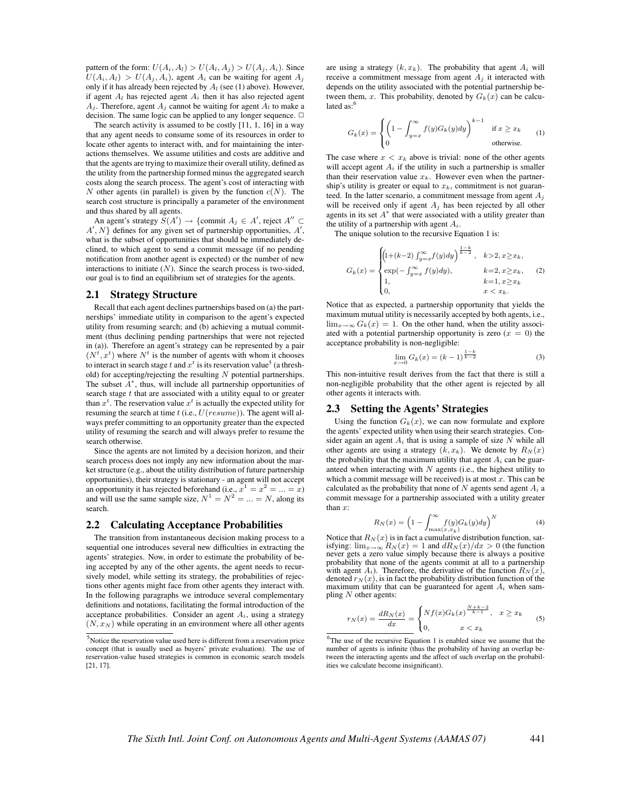pattern of the form:  $U(A_i, A_i) > U(A_i, A_j) > U(A_i, A_i)$ . Since  $U(A_i, A_i) > U(A_j, A_i)$ , agent  $A_i$  can be waiting for agent  $A_j$ only if it has already been rejected by  $A_l$  (see (1) above). However, if agent  $A_l$  has rejected agent  $A_i$  then it has also rejected agent  $A_j$ . Therefore, agent  $A_j$  cannot be waiting for agent  $A_l$  to make a decision. The same logic can be applied to any longer sequence.  $\Box$ 

The search activity is assumed to be costly [11, 1, 16] in a way that any agent needs to consume some of its resources in order to locate other agents to interact with, and for maintaining the interactions themselves. We assume utilities and costs are additive and that the agents are trying to maximize their overall utility, defined as the utility from the partnership formed minus the aggregated search costs along the search process. The agent's cost of interacting with  $N$  other agents (in parallel) is given by the function  $c(N)$ . The search cost structure is principally a parameter of the environment and thus shared by all agents.

An agent's strategy  $\widetilde{S}(A') \to \{$  commit  $A_j \in A'$ , reject  $A'' \subset$  $A', N$ } defines for any given set of partnership opportunities,  $A',$ what is the subset of opportunities that should be immediately declined, to which agent to send a commit message (if no pending notification from another agent is expected) or the number of new interactions to initiate  $(N)$ . Since the search process is two-sided, our goal is to find an equilibrium set of strategies for the agents.

Recall that each agent declines partnerships based on (a) the partnerships' immediate utility in comparison to the agent's expected utility from resuming search; and (b) achieving a mutual commitment (thus declining pending partnerships that were not rejected in (a)). Therefore an agent's strategy can be represented by a pair  $(N<sup>t</sup>, x<sup>t</sup>)$  where  $N<sup>t</sup>$  is the number of agents with whom it chooses to interact in search stage t and  $x^t$  is its reservation value<sup>5</sup> (a threshold) for accepting/rejecting the resulting  $N$  potential partnerships. The subset  $A^*$ , thus, will include all partnership opportunities of search stage  $t$  that are associated with a utility equal to or greater than  $x^t$ . The reservation value  $x^t$  is actually the expected utility for resuming the search at time  $t$  (i.e.,  $U(resume)$ ). The agent will always prefer committing to an opportunity greater than the expected utility of resuming the search and will always prefer to resume the search otherwise.

Since the agents are not limited by a decision horizon, and their search process does not imply any new information about the market structure (e.g., about the utility distribution of future partnership opportunities), their strategy is stationary - an agent will not accept an opportunity it has rejected beforehand (i.e.,  $x^1 = x^2 = ... = x$ ) and will use the same sample size,  $N^1 = N^2 = ... = N$ , along its search.

# $2.2$

The transition from instantaneous decision making process to a sequential one introduces several new difficulties in extracting the agents' strategies. Now, in order to estimate the probability of being accepted by any of the other agents, the agent needs to recursively model, while setting its strategy, the probabilities of rejections other agents might face from other agents they interact with. In the following paragraphs we introduce several complementary definitions and notations, facilitating the formal introduction of the acceptance probabilities. Consider an agent  $A_i$ , using a strategy  $(N, x_N)$  while operating in an environment where all other agents

are using a strategy  $(k, x_k)$ . The probability that agent  $A_i$  will receive a commitment message from agent  $A_j$  it interacted with depends on the utility associated with the potential partnership between them, x. This probability, denoted by  $G_k(x)$  can be calculated as: $6$ 

$$
G_k(x) = \begin{cases} \left(1 - \int_{y=x}^{\infty} f(y)G_k(y)dy\right)^{k-1} & \text{if } x \ge x_k\\ 0 & \text{otherwise.} \end{cases}
$$
 (1)

The case where  $x < x_k$  above is trivial: none of the other agents will accept agent  $A_i$  if the utility in such a partnership is smaller than their reservation value  $x_k$ . However even when the partnership's utility is greater or equal to  $x_k$ , commitment is not guaranteed. In the latter scenario, a commitment message from agent  $A_i$ will be received only if agent  $A_i$  has been rejected by all other agents in its set  $A^*$  that were associated with a utility greater than the utility of a partnership with agent  $A_i$ .

The unique solution to the recursive Equation 1 is:

$$
G_k(x) = \begin{cases} \left(1 + (k-2) \int_{y=x}^{\infty} f(y) dy\right)^{\frac{1-k}{k-2}}, & k > 2, x \ge x_k, \\ \exp(-\int_{y=x}^{\infty} f(y) dy), & k = 2, x \ge x_k, \\ 1, & k = 1, x \ge x_k \\ 0, & x < x_k. \end{cases}
$$
 (2)

Notice that as expected, a partnership opportunity that yields the maximum mutual utility is necessarily accepted by both agents, i.e.,  $\lim_{x\to\infty} G_k(x)=1$ . On the other hand, when the utility associated with a potential partnership opportunity is zero  $(x = 0)$  the acceptance probability is non-negligible:

$$
\lim_{x \to 0} G_k(x) = (k-1)^{\frac{1-k}{k-2}} \tag{3}
$$

This non-intuitive result derives from the fact that there is still a non-negligible probability that the other agent is rejected by all other agents it interacts with.

Using the function  $G_k(x)$ , we can now formulate and explore the agents' expected utility when using their search strategies. Consider again an agent  $A_i$  that is using a sample of size  $N$  while all other agents are using a strategy  $(k, x_k)$ . We denote by  $R_N(x)$ the probability that the maximum utility that agent  $A_i$  can be guaranteed when interacting with  $N$  agents (i.e., the highest utility to which a commit message will be received) is at most  $x$ . This can be calculated as the probability that none of  $N$  agents send agent  $A_i$  a commit message for a partnership associated with a utility greater than x:

$$
R_N(x) = \left(1 - \int_{\max(x,x_k)}^{\infty} f(y)G_k(y)dy\right)^N
$$
\n(4)

Notice that  $R_N(x)$  is in fact a cumulative distribution function, satisfying:  $\lim_{x\to\infty} R_N(x)=1$  and  $dR_N(x)/dx > 0$  (the function never gets a zero value simply because there is always a positive probability that none of the agents commit at all to a partnership with agent  $A_i$ ). Therefore, the derivative of the function  $R_N(x)$ , denoted  $r_N(x)$ , is in fact the probability distribution function of the maximum utility that can be guaranteed for agent  $A_i$  when sampling  $N$  other agents:

$$
r_N(x) = \frac{dR_N(x)}{dx} = \begin{cases} Nf(x)G_k(x)^{\frac{N+k-2}{k-1}}, & x \ge x_k \\ 0, & x < x_k \end{cases}
$$
 (5)

<sup>6</sup>The use of the recursive Equation 1 is enabled since we assume that the number of agents is infinite (thus the probability of having an overlap between the interacting agents and the affect of such overlap on the probabilities we calculate become insignificant).

*The Sixth Intl. Joint Conf. on Autonomous Agents and Multi-Agent Systems (AAMAS 07)* 441

<sup>&</sup>lt;sup>5</sup>Notice the reservation value used here is different from a reservation price concept (that is usually used as buyers' private evaluation). The use of reservation-value based strategies is common in economic search models [21, 17].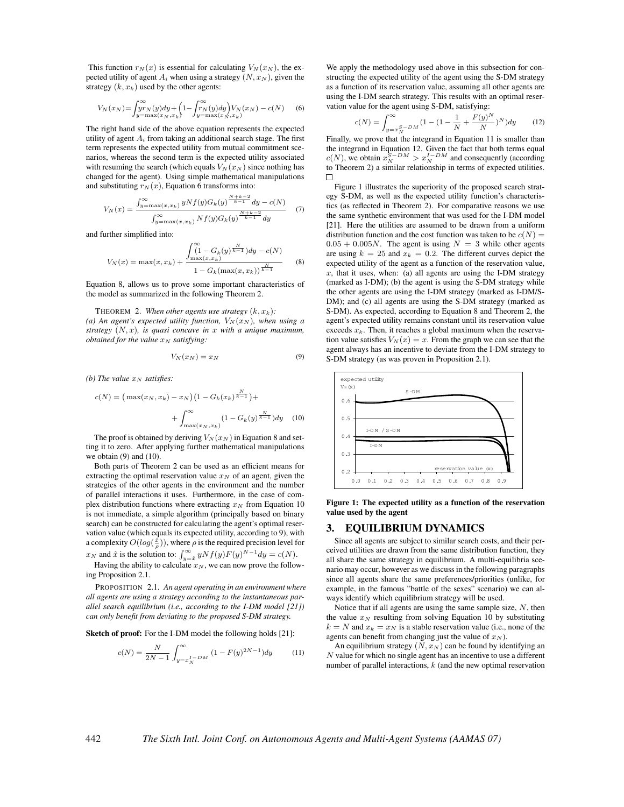This function  $r_N(x)$  is essential for calculating  $V_N(x_N)$ , the expected utility of agent  $A_i$  when using a strategy  $(N, x_N)$ , given the strategy  $(k, x_k)$  used by the other agents:

$$
V_N(x_N) = \int_{y=\max(x_N, x_k)}^{\infty} \int_{y=\max(x_N, x_k)}^{x} \left(1 - \int_{y=\max(x_N, x_k)}^{\infty} V_N(x_N) - c(N)\right) \tag{6}
$$

The right hand side of the above equation represents the expected utility of agent  $A_i$  from taking an additional search stage. The first term represents the expected utility from mutual commitment scenarios, whereas the second term is the expected utility associated with resuming the search (which equals  $V_N(x_N)$  since nothing has changed for the agent). Using simple mathematical manipulations and substituting  $r_N(x)$ , Equation 6 transforms into:

$$
V_N(x) = \frac{\int_{y=\max(x,x_k)}^{\infty} yNf(y)G_k(y)^{\frac{N+k-2}{k-1}}dy - c(N)}{\int_{y=\max(x,x_k)}^{\infty} Nf(y)G_k(y)^{\frac{N+k-2}{k-1}}dy}
$$
(7)

and further simplified into:

$$
V_N(x) = \max(x, x_k) + \frac{\int_{\max(x, x_k)}^{\infty} (1 - G_k(y)^{\frac{N}{k-1}}) dy - c(N)}{1 - G_k(\max(x, x_k))^{\frac{N}{k-1}}} \tag{8}
$$

Equation 8, allows us to prove some important characteristics of the model as summarized in the following Theorem 2.

THEOREM 2. When other agents use strategy  $(k, x_k)$ : (a) An agent's expected utility function,  $V_N(x_N)$ , when using a strategy  $(N, x)$ , is quasi concave in x with a unique maximum, obtained for the value  $x_N$  satisfying:

$$
V_N(x_N) = x_N \tag{9}
$$

(b) The value  $x_N$  satisfies:

$$
c(N) = \left(\max(x_N, x_k) - x_N\right) \left(1 - G_k(x_k)^{\frac{N}{k-1}}\right) +
$$

$$
+ \int_{\max(x_N, x_k)}^{\infty} (1 - G_k(y)^{\frac{N}{k-1}}) dy \quad (10)
$$

The proof is obtained by deriving  $V_N(x_N)$  in Equation 8 and setting it to zero. After applying further mathematical manipulations we obtain  $(9)$  and  $(10)$ .

Both parts of Theorem 2 can be used as an efficient means for extracting the optimal reservation value  $x_N$  of an agent, given the strategies of the other agents in the environment and the number of parallel interactions it uses. Furthermore, in the case of complex distribution functions where extracting  $x_N$  from Equation 10 is not immediate, a simple algorithm (principally based on binary search) can be constructed for calculating the agent's optimal reservation value (which equals its expected utility, according to 9), with a complexity  $O(log(\frac{\hat{x}}{\rho}))$ , where  $\rho$  is the required precision level for  $x_N$  and  $\hat{x}$  is the solution to:  $\int_{y=\hat{x}}^{\infty} yNf(y)F(y)^{N-1}dy = c(N)$ .

Having the ability to calculate  $x_N$ , we can now prove the following Proposition 2.1.

PROPOSITION 2.1. An agent operating in an environment where all agents are using a strategy according to the instantaneous parallel search equilibrium (i.e., according to the I-DM model [21]) can only benefit from deviating to the proposed S-DM strategy.

Sketch of proof: For the I-DM model the following holds [21]:

$$
c(N) = \frac{N}{2N-1} \int_{y=x_N^{I-DM}}^{\infty} (1 - F(y)^{2N-1}) dy
$$
 (11)

We apply the methodology used above in this subsection for constructing the expected utility of the agent using the S-DM strategy as a function of its reservation value, assuming all other agents are using the I-DM search strategy. This results with an optimal reservation value for the agent using S-DM, satisfying:

$$
c(N) = \int_{y=x_N^{S-DM}}^{\infty} (1 - (1 - \frac{1}{N} + \frac{F(y)^N}{N})^N) dy
$$
 (12)

Finally, we prove that the integrand in Equation 11 is smaller than the integrand in Equation 12. Given the fact that both terms equal  $c(N)$ , we obtain  $x_N^{S-DM} > x_N^{I-DM}$  and consequently (according to Theorem 2) a similar relationship in terms of expected utilities.  $\Box$ 

Figure 1 illustrates the superiority of the proposed search strategy S-DM, as well as the expected utility function's characteristics (as reflected in Theorem 2). For comparative reasons we use the same synthetic environment that was used for the I-DM model [21]. Here the utilities are assumed to be drawn from a uniform distribution function and the cost function was taken to be  $c(N)$  =  $0.05 + 0.005N$ . The agent is using  $N = 3$  while other agents are using  $k = 25$  and  $x_k = 0.2$ . The different curves depict the expected utility of the agent as a function of the reservation value,  $x$ , that it uses, when: (a) all agents are using the I-DM strategy (marked as I-DM); (b) the agent is using the S-DM strategy while the other agents are using the I-DM strategy (marked as I-DM/S-DM); and (c) all agents are using the S-DM strategy (marked as S-DM). As expected, according to Equation 8 and Theorem 2, the agent's expected utility remains constant until its reservation value exceeds  $x_k$ . Then, it reaches a global maximum when the reservation value satisfies  $V_N(x) = x$ . From the graph we can see that the agent always has an incentive to deviate from the I-DM strategy to S-DM strategy (as was proven in Proposition 2.1).



Figure 1: The expected utility as a function of the reservation value used by the agent

#### 3. EQUILIBRIUM DYNAMICS

Since all agents are subject to similar search costs, and their perceived utilities are drawn from the same distribution function, they all share the same strategy in equilibrium. A multi-equilibria scenario may occur, however as we discuss in the following paragraphs since all agents share the same preferences/priorities (unlike, for example, in the famous "battle of the sexes" scenario) we can always identify which equilibrium strategy will be used.

Notice that if all agents are using the same sample size,  $N$ , then the value  $x_N$  resulting from solving Equation 10 by substituting  $k = N$  and  $x_k = x_N$  is a stable reservation value (i.e., none of the agents can benefit from changing just the value of  $x_N$ ).

An equilibrium strategy  $(N, x_N)$  can be found by identifying an N value for which no single agent has an incentive to use a different number of parallel interactions,  $k$  (and the new optimal reservation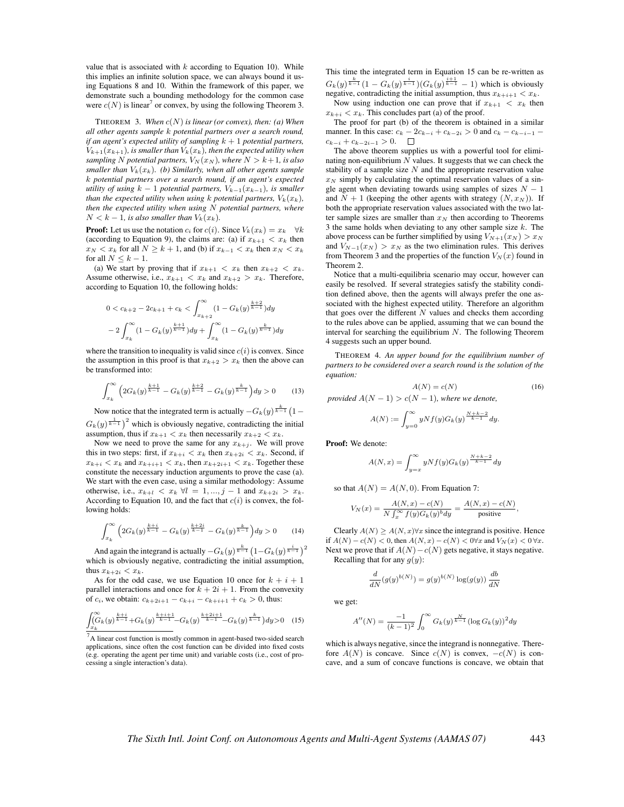value that is associated with  $k$  according to Equation 10). While this implies an infinite solution space, we can always bound it using Equations 8 and 10. Within the framework of this paper, we demonstrate such a bounding methodology for the common case were  $c(N)$  is linear<sup>7</sup> or convex, by using the following Theorem 3.

THEOREM 3. When  $c(N)$  is linear (or convex), then: (a) When all other agents sample k potential partners over a search round, if an agent's expected utility of sampling  $k + 1$  potential partners,  $V_{k+1}(x_{k+1})$ , is smaller than  $V_k(x_k)$ , then the expected utility when sampling N potential partners,  $V_N(x_N)$ , where  $N > k+1$ , is also smaller than  $V_k(x_k)$ . (b) Similarly, when all other agents sample k potential partners over a search round, if an agent's expected utility of using  $k - 1$  potential partners,  $V_{k-1}(x_{k-1})$ , is smaller than the expected utility when using k potential partners,  $V_k(x_k)$ , then the expected utility when using  $N$  potential partners, where  $N < k - 1$ , is also smaller than  $V_k(x_k)$ .

**Proof:** Let us use the notation  $c_i$  for  $c(i)$ . Since  $V_k(x_k) = x_k \quad \forall k$ (according to Equation 9), the claims are: (a) if  $x_{k+1} < x_k$  then  $x_N < x_k$  for all  $N \geq k+1$ , and (b) if  $x_{k-1} < x_k$  then  $x_N < x_k$ for all  $N \leq k - 1$ .

(a) We start by proving that if  $x_{k+1} < x_k$  then  $x_{k+2} < x_k$ . Assume otherwise, i.e.,  $x_{k+1} < x_k$  and  $x_{k+2} > x_k$ . Therefore, according to Equation 10, the following holds:

$$
\begin{aligned} &0 < c_{k+2} - 2c_{k+1} + c_k < \int_{x_{k+2}}^{\infty} (1-G_k(y)^{\frac{k+2}{k-1}}) dy \\ &- 2 \int_{x_k}^{\infty} (1-G_k(y)^{\frac{k+1}{k-1}}) dy + \int_{x_k}^{\infty} (1-G_k(y)^{\frac{k}{k-1}}) dy \end{aligned}
$$

where the transition to inequality is valid since  $c(i)$  is convex. Since the assumption in this proof is that  $x_{k+2} > x_k$  then the above can be transformed into:

$$
\int_{x_k}^{\infty} \left(2G_k(y)^{\frac{k+1}{k-1}} - G_k(y)^{\frac{k+2}{k-1}} - G_k(y)^{\frac{k}{k-1}}\right) dy > 0 \tag{13}
$$

Now notice that the integrated term is actually  $-G_k(y)^{\frac{k}{k-1}} (1 G_k(y)^{\frac{1}{k-1}}$ <sup>2</sup> which is obviously negative, contradicting the initial assumption thus if  $x_{k+1} \leq x_k$  then necessarily  $x_{k+1} \leq x_k$ assumption, thus if  $x_{k+1} < x_k$  then necessarily  $x_{k+2} < x_k$ .

Now we need to prove the same for any  $x_{k+j}$ . We will prove this in two steps: first, if  $x_{k+i} < x_k$  then  $x_{k+2i} < x_k$ . Second, if  $x_{k+i} < x_k$  and  $x_{k+i+1} < x_k$ , then  $x_{k+2i+1} < x_k$ . Together these constitute the necessary induction arguments to prove the case (a). We start with the even case, using a similar methodology: Assume otherwise, i.e.,  $x_{k+l} < x_k \ \forall l = 1, ..., j-1$  and  $x_{k+2i} > x_k$ . According to Equation 10, and the fact that  $c(i)$  is convex, the following holds:

$$
\int_{x_k}^{\infty} \left(2G_k(y)^{\frac{k+i}{k-1}} - G_k(y)^{\frac{k+2i}{k-1}} - G_k(y)^{\frac{k}{k-1}}\right) dy > 0 \tag{14}
$$

And again the integrand is actually  $-G_k(y)^{\frac{k}{k-1}} \left(1-G_k(y)^{\frac{i}{k-1}}\right)^2$ <br>iich is obviously negative, contradicting the initial assumption which is obviously negative, contradicting the initial assumption, thus  $x_{k+2i} < x_k$ .

As for the odd case, we use Equation 10 once for  $k + i + 1$ parallel interactions and once for  $k + 2i + 1$ . From the convexity of  $c_i$ , we obtain:  $c_{k+2i+1} - c_{k+i} - c_{k+i+1} + c_k > 0$ , thus:

$$
\frac{\int_{x_k}^{\infty} (G_k(y)^{\frac{k+i}{k-1}} + G_k(y)^{\frac{k+i+1}{k-1}} - G_k(y)^{\frac{k+2i+1}{k-1}} - G_k(y)^{\frac{k}{k-1}}) dy > 0 \quad (15)
$$

This time the integrated term in Equation 15 can be re-written as  $G_k(y) \frac{k}{k-1} (1 - G_k(y) \frac{k-1}{k-1}) (G_k(y) \frac{k+1}{k-1} - 1)$  which is obviously<br>negative contradicting the initial assumption, thus  $x_k \dots x_k \leq x_k$ negative, contradicting the initial assumption, thus  $x_{k+i+1} < x_k$ . Now using induction one can prove that if  $x_{k+1} < x_k$  then  $x_{k+i} < x_k$ . This concludes part (a) of the proof.

The proof for part (b) of the theorem is obtained in a similar manner. In this case:  $c_k - 2c_{k-i} + c_{k-2i} > 0$  and  $c_k - c_{k-i-1}$  $c_{k-i} + c_{k-2i-1} > 0.$   $\Box$ 

The above theorem supplies us with a powerful tool for eliminating non-equilibrium  $N$  values. It suggests that we can check the stability of a sample size  $N$  and the appropriate reservation value  $x_N$  simply by calculating the optimal reservation values of a single agent when deviating towards using samples of sizes  $N - 1$ and  $N + 1$  (keeping the other agents with strategy  $(N, x_N)$ ). If both the appropriate reservation values associated with the two latter sample sizes are smaller than  $x_N$  then according to Theorems 3 the same holds when deviating to any other sample size  $k$ . The above process can be further simplified by using  $V_{N+1}(x_N) > x_N$ and  $V_{N-1}(x_N) > x_N$  as the two elimination rules. This derives from Theorem 3 and the properties of the function  $V_N(x)$  found in Theorem 2.

Notice that a multi-equilibria scenario may occur, however can easily be resolved. If several strategies satisfy the stability condition defined above, then the agents will always prefer the one associated with the highest expected utility. Therefore an algorithm that goes over the different  $N$  values and checks them according to the rules above can be applied, assuming that we can bound the interval for searching the equilibrium  $N$ . The following Theorem 4 suggests such an upper bound.

THEOREM 4. An upper bound for the equilibrium number of partners to be considered over a search round is the solution of the equation:

$$
A(N) = c(N)
$$
\n
$$
provided A(N-1) > c(N-1), where we denote,
$$
\n(16)

$$
A(N) := \int_{y=0}^{\infty} y N f(y) G_k(y)^{\frac{N+k-2}{k-1}} dy.
$$

Proof: We denote:

$$
A(N,x)=\int_{y=x}^\infty yNf(y)G_k(y)^{\frac{N+k-2}{k-1}}dy
$$

so that  $A(N) = A(N, 0)$ . From Equation 7:

$$
V_N(x) = \frac{A(N, x) - c(N)}{N \int_x^{\infty} f(y) G_k(y)^b dy} = \frac{A(N, x) - c(N)}{\text{positive}},
$$

Clearly  $A(N) \ge A(N, x) \forall x$  since the integrand is positive. Hence if  $A(N) - c(N) < 0$ , then  $A(N, x) - c(N) < 0 \forall x$  and  $V_N(x) < 0 \forall x$ . Next we prove that if  $A(N) - c(N)$  gets negative, it stays negative. Recalling that for any  $q(y)$ :

$$
\frac{d}{dN}(g(y)^{b(N)}) = g(y)^{b(N)} \log(g(y)) \frac{db}{dN}
$$

we get:

$$
A''(N) = \frac{-1}{(k-1)^2} \int_0^\infty G_k(y)^{\frac{N}{k-1}} (\log G_k(y))^2 dy
$$

which is always negative, since the integrand is nonnegative. Therefore  $A(N)$  is concave. Since  $c(N)$  is convex,  $-c(N)$  is concave, and a sum of concave functions is concave, we obtain that

*The Sixth Intl. Joint Conf. on Autonomous Agents and Multi-Agent Systems (AAMAS 07)* 443

<sup>&</sup>lt;sup>7</sup>A linear cost function is mostly common in agent-based two-sided search applications, since often the cost function can be divided into fixed costs (e.g. operating the agent per time unit) and variable costs (i.e., cost of processing a single interaction's data).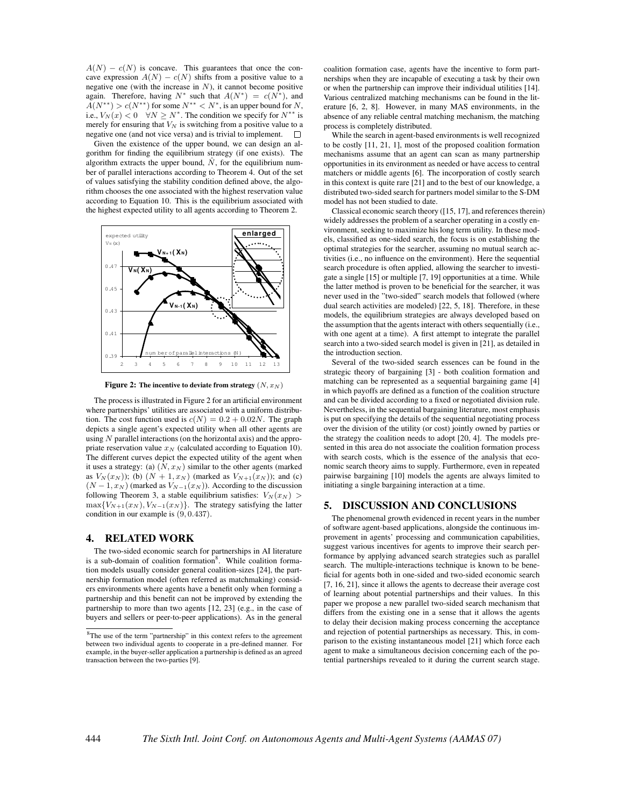$A(N) - c(N)$  is concave. This guarantees that once the concave expression  $A(N) - c(N)$  shifts from a positive value to a negative one (with the increase in  $N$ ), it cannot become positive again. Therefore, having  $N^*$  such that  $A(N^*) = c(N^*)$ , and  $A(N^{**}) > c(N^{**})$  for some  $N^{**} < N^*$ , is an upper bound for N, i.e.,  $V_N(x) < 0 \quad \forall N \ge N^*$ . The condition we specify for  $N^{**}$  is merely for ensuring that  $V_N$  is switching from a positive value to a negative one (and not vice versa) and is trivial to implement.  $\Box$ 

Given the existence of the upper bound, we can design an algorithm for finding the equilibrium strategy (if one exists). The algorithm extracts the upper bound,  $\dot{N}$ , for the equilibrium number of parallel interactions according to Theorem 4. Out of the set of values satisfying the stability condition defined above, the algorithm chooses the one associated with the highest reservation value according to Equation 10. This is the equilibrium associated with the highest expected utility to all agents according to Theorem 2.



Figure 2: The incentive to deviate from strategy  $(N, x_N)$ 

The process is illustrated in Figure 2 for an artificial environment where partnerships' utilities are associated with a uniform distribution. The cost function used is  $c(N)=0.2+0.02N$ . The graph depicts a single agent's expected utility when all other agents are using  $N$  parallel interactions (on the horizontal axis) and the appropriate reservation value  $x_N$  (calculated according to Equation 10). The different curves depict the expected utility of the agent when it uses a strategy: (a)  $(N, x_N)$  similar to the other agents (marked as  $V_N(x_N)$ ; (b)  $(N + 1, x_N)$  (marked as  $V_{N+1}(x_N)$ ); and (c)  $(N-1, x_N)$  (marked as  $V_{N-1}(x_N)$ ). According to the discussion following Theorem 3, a stable equilibrium satisfies:  $V_N(x_N)$  >  $\max\{V_{N+1}(x_N), V_{N-1}(x_N)\}\.$  The strategy satisfying the latter condition in our example is (9, 0.437).

# 4. RELATED WORK

The two-sided economic search for partnerships in AI literature is a sub-domain of coalition formation<sup>8</sup>. While coalition formation models usually consider general coalition-sizes [24], the partnership formation model (often referred as matchmaking) considers environments where agents have a benefit only when forming a partnership and this benefit can not be improved by extending the partnership to more than two agents [12, 23] (e.g., in the case of buyers and sellers or peer-to-peer applications). As in the general coalition formation case, agents have the incentive to form partnerships when they are incapable of executing a task by their own or when the partnership can improve their individual utilities [14]. Various centralized matching mechanisms can be found in the literature [6, 2, 8]. However, in many MAS environments, in the absence of any reliable central matching mechanism, the matching process is completely distributed.

While the search in agent-based environments is well recognized to be costly [11, 21, 1], most of the proposed coalition formation mechanisms assume that an agent can scan as many partnership opportunities in its environment as needed or have access to central matchers or middle agents [6]. The incorporation of costly search in this context is quite rare [21] and to the best of our knowledge, a distributed two-sided search for partners model similar to the S-DM model has not been studied to date.

Classical economic search theory ([15, 17], and references therein) widely addresses the problem of a searcher operating in a costly environment, seeking to maximize his long term utility. In these models, classified as one-sided search, the focus is on establishing the optimal strategies for the searcher, assuming no mutual search activities (i.e., no influence on the environment). Here the sequential search procedure is often applied, allowing the searcher to investigate a single [15] or multiple [7, 19] opportunities at a time. While the latter method is proven to be beneficial for the searcher, it was never used in the "two-sided" search models that followed (where dual search activities are modeled) [22, 5, 18]. Therefore, in these models, the equilibrium strategies are always developed based on the assumption that the agents interact with others sequentially (i.e., with one agent at a time). A first attempt to integrate the parallel search into a two-sided search model is given in [21], as detailed in the introduction section.

Several of the two-sided search essences can be found in the strategic theory of bargaining [3] - both coalition formation and matching can be represented as a sequential bargaining game [4] in which payoffs are defined as a function of the coalition structure and can be divided according to a fixed or negotiated division rule. Nevertheless, in the sequential bargaining literature, most emphasis is put on specifying the details of the sequential negotiating process over the division of the utility (or cost) jointly owned by parties or the strategy the coalition needs to adopt [20, 4]. The models presented in this area do not associate the coalition formation process with search costs, which is the essence of the analysis that economic search theory aims to supply. Furthermore, even in repeated pairwise bargaining [10] models the agents are always limited to initiating a single bargaining interaction at a time.

# 5. DISCUSSION AND CONCLUSIONS

The phenomenal growth evidenced in recent years in the number of software agent-based applications, alongside the continuous improvement in agents' processing and communication capabilities, suggest various incentives for agents to improve their search performance by applying advanced search strategies such as parallel search. The multiple-interactions technique is known to be beneficial for agents both in one-sided and two-sided economic search [7, 16, 21], since it allows the agents to decrease their average cost of learning about potential partnerships and their values. In this paper we propose a new parallel two-sided search mechanism that differs from the existing one in a sense that it allows the agents to delay their decision making process concerning the acceptance and rejection of potential partnerships as necessary. This, in comparison to the existing instantaneous model [21] which force each agent to make a simultaneous decision concerning each of the potential partnerships revealed to it during the current search stage.

<sup>&</sup>lt;sup>8</sup>The use of the term "partnership" in this context refers to the agreement between two individual agents to cooperate in a pre-defined manner. For example, in the buyer-seller application a partnership is defined as an agreed transaction between the two-parties [9].